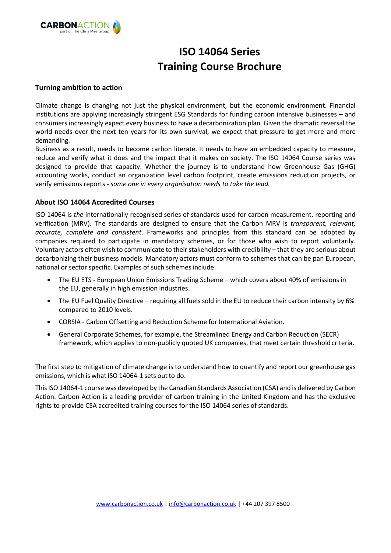

# **ISO 14064 Series Training Course Brochure**

#### **Turning ambition to action**

Climate change is changing not just the physical environment, but the economic environment. Financial institutions are applying increasingly stringent ESG Standards for funding carbon intensive businesses – and consumers increasingly expect every business to have a decarbonization plan. Given the dramatic reversal the world needs over the next ten years for its own survival, we expect that pressure to get more and more demanding.

Business as a result, needs to become carbon literate. It needs to have an embedded capacity to measure, reduce and verify what it does and the impact that it makes on society. The ISO 14064 Course series was designed to provide that capacity. Whether the journey is to understand how Greenhouse Gas (GHG) accounting works, conduct an organization level carbon footprint, create emissions reduction projects, or verify emissions reports - *some one in every organisation needs to take the lead.*

#### **About ISO 14064 Accredited Courses**

ISO 14064 is *the* internationally recognised series of standards used for carbon measurement, reporting and verification (MRV). The standards are designed to ensure that the Carbon MRV is *transparent, relevant, accurate, complete and consistent*. Frameworks and principles from this standard can be adopted by companies required to participate in mandatory schemes, or for those who wish to report voluntarily. Voluntary actors often wish to communicate to their stakeholders with credibility – that they are serious about decarbonizing their business models. Mandatory actors must conform to schemes that can be pan European, national or sector specific. Examples of such schemes include:

- The EU ETS European Union Emissions Trading Scheme which covers about 40% of emissions in the EU, generally in high emission industries.
- The EU Fuel Quality Directive requiring all fuels sold in the EU to reduce their carbon intensity by 6% compared to 2010 levels.
- CORSIA Carbon Offsetting and Reduction Scheme for International Aviation.
- General Corporate Schemes, for example, the Streamlined Energy and Carbon Reduction (SECR) framework, which applies to non-publicly quoted UK companies, that meet certain thresholdcriteria.

The first step to mitigation of climate change is to understand how to quantify and report our greenhouse gas emissions, which is what ISO 14064-1 sets out to do.

ThisISO14064-1 course was developed by the Canadian Standards Association (CSA) and is delivered by Carbon Action. Carbon Action is a leading provider of carbon training in the United Kingdom and has the exclusive rights to provide CSA accredited training courses for the ISO 14064 series of standards.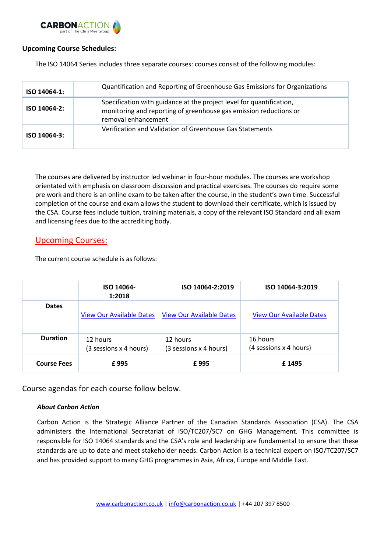

#### **Upcoming Course Schedules:**

The ISO 14064 Series includes three separate courses: courses consist of the following modules:

| ISO 14064-1: | Quantification and Reporting of Greenhouse Gas Emissions for Organizations                                                                                       |  |  |
|--------------|------------------------------------------------------------------------------------------------------------------------------------------------------------------|--|--|
| ISO 14064-2: | Specification with guidance at the project level for quantification,<br>monitoring and reporting of greenhouse gas emission reductions or<br>removal enhancement |  |  |
| ISO 14064-3: | Verification and Validation of Greenhouse Gas Statements                                                                                                         |  |  |

The courses are delivered by instructor led webinar in four-hour modules. The courses are workshop orientated with emphasis on classroom discussion and practical exercises. The courses do require some pre work and there is an online exam to be taken after the course, in the student's own time. Successful completion of the course and exam allows the student to download their certificate, which is issued by the CSA. Course fees include tuition, training materials, a copy of the relevant ISO Standard and all exam and licensing fees due to the accrediting body.

# Upcoming Courses:

The current course schedule is as follows:

|                    | ISO 14064-<br>1:2018               | ISO 14064-2:2019                   | ISO 14064-3:2019                   |
|--------------------|------------------------------------|------------------------------------|------------------------------------|
| <b>Dates</b>       | <b>View Our Available Dates</b>    | <b>View Our Available Dates</b>    | <b>View Our Available Dates</b>    |
| <b>Duration</b>    | 12 hours<br>(3 sessions x 4 hours) | 12 hours<br>(3 sessions x 4 hours) | 16 hours<br>(4 sessions x 4 hours) |
| <b>Course Fees</b> | £995                               | £995                               | £1495                              |

Course agendas for each course follow below.

#### *About Carbon Action*

Carbon Action is the Strategic Alliance Partner of the Canadian Standards Association (CSA). The CSA administers the International Secretariat of ISO/TC207/SC7 on GHG Management. This committee is responsible for ISO 14064 standards and the CSA's role and leadership are fundamental to ensure that these standards are up to date and meet stakeholder needs. Carbon Action is a technical expert on ISO/TC207/SC7 and has provided support to many GHG programmes in Asia, Africa, Europe and Middle East.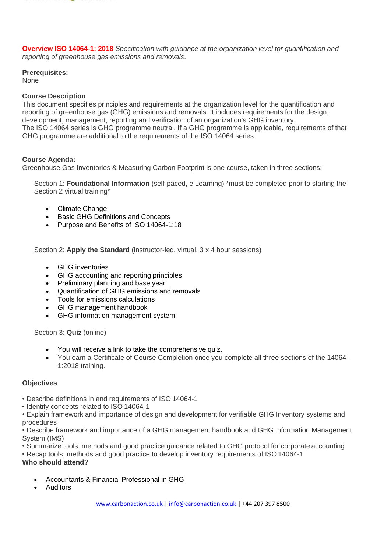

**Overview ISO 14064-1: 2018** *Specification with guidance at the organization level for quantification and reporting of greenhouse gas emissions and removals*.

#### **Prerequisites:**

None

#### **Course Description**

This document specifies principles and requirements at the organization level for the quantification and reporting of greenhouse gas (GHG) emissions and removals. It includes requirements for the design, development, management, reporting and verification of an organization's GHG inventory. The ISO 14064 series is GHG programme neutral. If a GHG programme is applicable, requirements of that GHG programme are additional to the requirements of the ISO 14064 series.

## **Course Agenda:**

Greenhouse Gas Inventories & Measuring Carbon Footprint is one course, taken in three sections:

Section 1: **Foundational Information** (self-paced, e Learning) \*must be completed prior to starting the Section 2 virtual training\*

- Climate Change
- **Basic GHG Definitions and Concepts**
- Purpose and Benefits of ISO 14064-1:18

Section 2: **Apply the Standard** (instructor-led, virtual, 3 x 4 hour sessions)

- GHG inventories
- GHG accounting and reporting principles
- Preliminary planning and base year
- Quantification of GHG emissions and removals
- Tools for emissions calculations
- GHG management handbook
- GHG information management system

Section 3: **Quiz** (online)

- You will receive a link to take the comprehensive quiz.
- You earn a Certificate of Course Completion once you complete all three sections of the 14064- 1:2018 training.

#### **Objectives**

- Describe definitions in and requirements of ISO 14064-1
- Identify concepts related to ISO 14064-1

• Explain framework and importance of design and development for verifiable GHG Inventory systems and procedures

• Describe framework and importance of a GHG management handbook and GHG Information Management System (IMS)

• Summarize tools, methods and good practice guidance related to GHG protocol for corporate accounting

• Recap tools, methods and good practice to develop inventory requirements of ISO14064-1

# **Who should attend?**

- Accountants & Financial Professional in GHG
- **Auditors**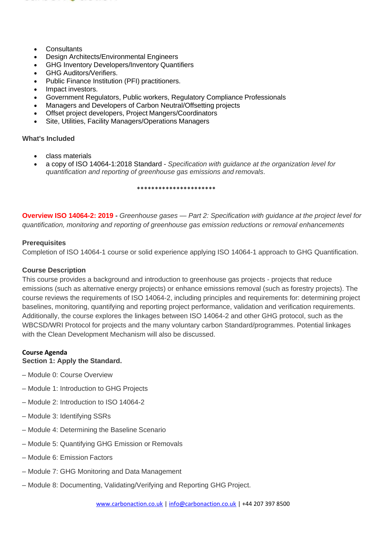

- Consultants
- Design Architects/Environmental Engineers
- GHG Inventory Developers/Inventory Quantifiers
- GHG Auditors/Verifiers.
- Public Finance Institution (PFI) practitioners.
- Impact investors.
- Government Regulators, Public workers, Regulatory Compliance Professionals
- Managers and Developers of Carbon Neutral/Offsetting projects
- Offset project developers, Project Mangers/Coordinators
- Site, Utilities, Facility Managers/Operations Managers

#### **What's Included**

- class materials
- a copy of ISO 14064-1:2018 Standard *Specification with guidance at the organization level for quantification and reporting of greenhouse gas emissions and removals*.

\*\*\*\*\*\*\*\*\*\*\*\*\*\*\*\*\*\*\*\*\*\*

**Overview ISO 14064-2: 2019 -** *Greenhouse gases — Part 2: Specification with guidance at the project level for quantification, monitoring and reporting of greenhouse gas emission reductions or removal enhancements*

#### **Prerequisites**

Completion of ISO 14064-1 course or solid experience applying ISO 14064-1 approach to GHG Quantification.

## **Course Description**

This course provides a background and introduction to greenhouse gas projects - projects that reduce emissions (such as alternative energy projects) or enhance emissions removal (such as forestry projects). The course reviews the requirements of ISO 14064-2, including principles and requirements for: determining project baselines, monitoring, quantifying and reporting project performance, validation and verification requirements. Additionally, the course explores the linkages between ISO 14064-2 and other GHG protocol, such as the WBCSD/WRI Protocol for projects and the many voluntary carbon Standard/programmes. Potential linkages with the Clean Development Mechanism will also be discussed.

# **Course Agenda**

#### **Section 1: Apply the Standard.**

- Module 0: Course Overview
- Module 1: Introduction to GHG Projects
- Module 2: Introduction to ISO 14064-2
- Module 3: Identifying SSRs
- Module 4: Determining the Baseline Scenario
- Module 5: Quantifying GHG Emission or Removals
- Module 6: Emission Factors
- Module 7: GHG Monitoring and Data Management
- Module 8: Documenting, Validating/Verifying and Reporting GHG Project.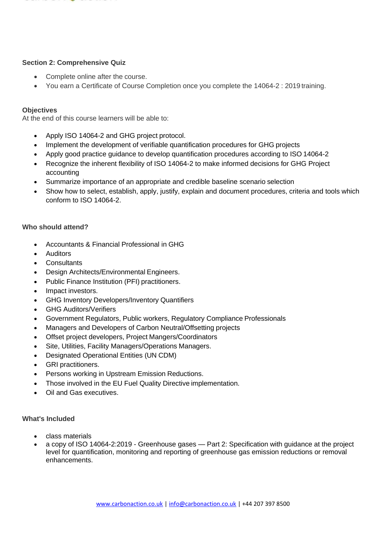

#### **Section 2: Comprehensive Quiz**

- Complete online after the course.
- You earn a Certificate of Course Completion once you complete the 14064-2 : 2019 training.

#### **Objectives**

At the end of this course learners will be able to:

- Apply ISO 14064-2 and GHG project protocol.
- Implement the development of verifiable quantification procedures for GHG projects
- Apply good practice guidance to develop quantification procedures according to ISO 14064-2
- Recognize the inherent flexibility of ISO 14064-2 to make informed decisions for GHG Project accounting
- Summarize importance of an appropriate and credible baseline scenario selection
- Show how to select, establish, apply, justify, explain and document procedures, criteria and tools which conform to ISO 14064-2.

#### **Who should attend?**

- Accountants & Financial Professional in GHG
- **Auditors**
- **Consultants**
- Design Architects/Environmental Engineers.
- Public Finance Institution (PFI) practitioners.
- Impact investors.
- GHG Inventory Developers/Inventory Quantifiers
- GHG Auditors/Verifiers
- Government Regulators, Public workers, Regulatory Compliance Professionals
- Managers and Developers of Carbon Neutral/Offsetting projects
- Offset project developers, Project Mangers/Coordinators
- Site, Utilities, Facility Managers/Operations Managers.
- Designated Operational Entities (UN CDM)
- GRI practitioners.
- Persons working in Upstream Emission Reductions.
- Those involved in the EU Fuel Quality Directive implementation.
- Oil and Gas executives.

#### **What's Included**

- class materials
- a copy of ISO 14064-2:2019 Greenhouse gases Part 2: Specification with guidance at the project level for quantification, monitoring and reporting of greenhouse gas emission reductions or removal enhancements.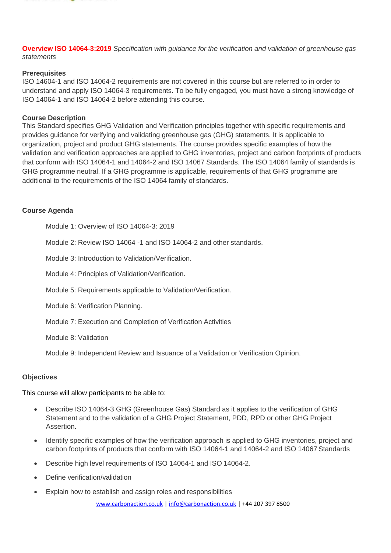

**Overview ISO 14064-3:2019** *Specification with guidance for the verification and validation of greenhouse gas statements*

#### **Prerequisites**

ISO 14604-1 and ISO 14064-2 requirements are not covered in this course but are referred to in order to understand and apply ISO 14064-3 requirements. To be fully engaged, you must have a strong knowledge of ISO 14064-1 and ISO 14064-2 before attending this course.

#### **Course Description**

This Standard specifies GHG Validation and Verification principles together with specific requirements and provides guidance for verifying and validating greenhouse gas (GHG) statements. It is applicable to organization, project and product GHG statements. The course provides specific examples of how the validation and verification approaches are applied to GHG inventories, project and carbon footprints of products that conform with ISO 14064-1 and 14064-2 and ISO 14067 Standards. The ISO 14064 family of standards is GHG programme neutral. If a GHG programme is applicable, requirements of that GHG programme are additional to the requirements of the ISO 14064 family of standards.

#### **Course Agenda**

Module 1: Overview of ISO 14064-3: 2019

Module 2: Review ISO 14064 -1 and ISO 14064-2 and other standards.

Module 3: Introduction to Validation/Verification.

Module 4: Principles of Validation/Verification.

Module 5: Requirements applicable to Validation/Verification.

Module 6: Verification Planning.

Module 7: Execution and Completion of Verification Activities

Module 8: Validation

Module 9: Independent Review and Issuance of a Validation or Verification Opinion.

#### **Objectives**

This course will allow participants to be able to:

- Describe ISO 14064-3 GHG (Greenhouse Gas) Standard as it applies to the verification of GHG Statement and to the validation of a GHG Project Statement, PDD, RPD or other GHG Project Assertion.
- Identify specific examples of how the verification approach is applied to GHG inventories, project and carbon footprints of products that conform with ISO 14064-1 and 14064-2 and ISO 14067 Standards
- Describe high level requirements of ISO 14064-1 and ISO 14064-2.
- Define verification/validation
- Explain how to establish and assign roles and responsibilities

[www.carbonaction.co.uk](http://www.carbonaction.co.uk/) [| info@carbonaction.co.uk](mailto:info@carbonaction.co.uk) | +44 207 397 8500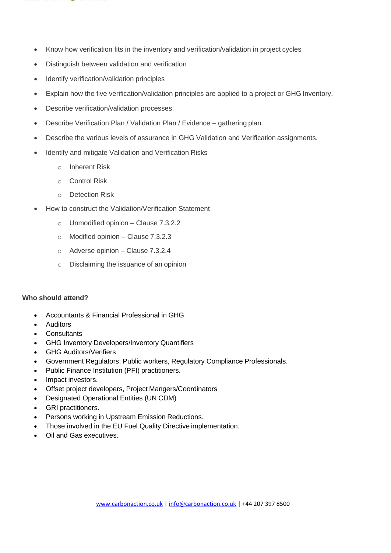

- Know how verification fits in the inventory and verification/validation in project cycles
- Distinguish between validation and verification
- Identify verification/validation principles
- Explain how the five verification/validation principles are applied to a project or GHG Inventory.
- Describe verification/validation processes.
- Describe Verification Plan / Validation Plan / Evidence gathering plan.
- Describe the various levels of assurance in GHG Validation and Verification assignments.
- Identify and mitigate Validation and Verification Risks
	- o Inherent Risk
	- o Control Risk
	- o Detection Risk
- How to construct the Validation/Verification Statement
	- $\circ$  Unmodified opinion Clause 7.3.2.2
	- o Modified opinion Clause 7.3.2.3
	- o Adverse opinion Clause 7.3.2.4
	- o Disclaiming the issuance of an opinion

## **Who should attend?**

- Accountants & Financial Professional in GHG
- **Auditors**
- **Consultants**
- GHG Inventory Developers/Inventory Quantifiers
- GHG Auditors/Verifiers
- Government Regulators, Public workers, Regulatory Compliance Professionals.
- Public Finance Institution (PFI) practitioners.
- Impact investors.
- Offset project developers, Project Mangers/Coordinators
- Designated Operational Entities (UN CDM)
- GRI practitioners.
- Persons working in Upstream Emission Reductions.
- Those involved in the EU Fuel Quality Directive implementation.
- Oil and Gas executives.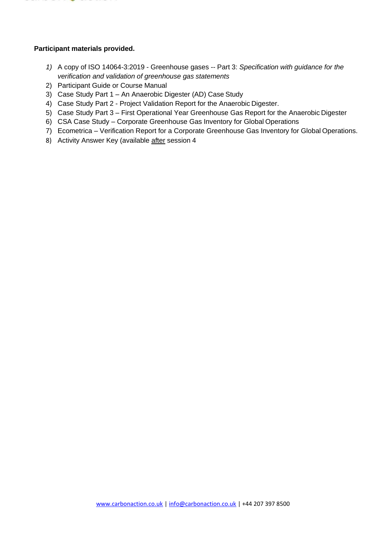

## **Participant materials provided.**

- *1)* A copy of ISO 14064-3:2019 Greenhouse gases -- Part 3: *Specification with guidance for the verification and validation of greenhouse gas statements*
- 2) Participant Guide or Course Manual
- 3) Case Study Part 1 An Anaerobic Digester (AD) Case Study
- 4) Case Study Part 2 Project Validation Report for the Anaerobic Digester.
- 5) Case Study Part 3 First Operational Year Greenhouse Gas Report for the Anaerobic Digester
- 6) CSA Case Study Corporate Greenhouse Gas Inventory for Global Operations
- 7) Ecometrica Verification Report for a Corporate Greenhouse Gas Inventory for Global Operations.
- 8) Activity Answer Key (available after session 4